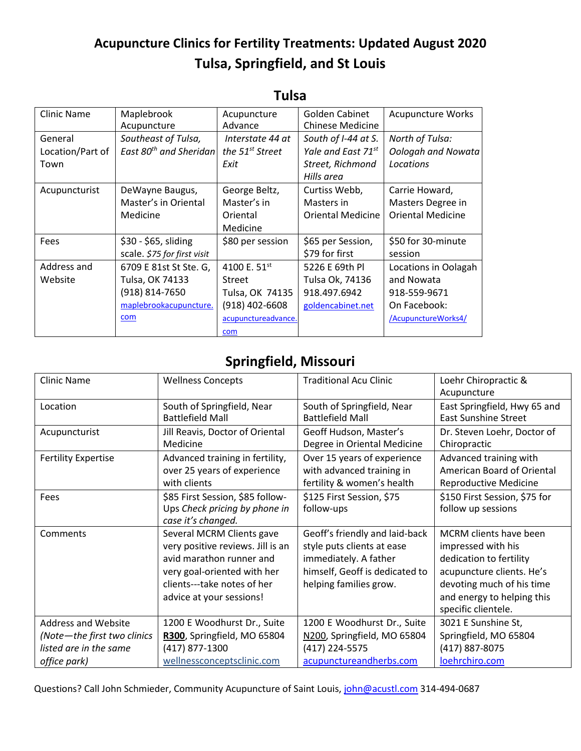## **Acupuncture Clinics for Fertility Treatments: Updated August 2020 Tulsa, Springfield, and St Louis**

| Clinic Name      | Maplebrook                         | Acupuncture                 | Golden Cabinet           | <b>Acupuncture Works</b> |
|------------------|------------------------------------|-----------------------------|--------------------------|--------------------------|
|                  | Acupuncture                        | Advance                     | <b>Chinese Medicine</b>  |                          |
| General          | Southeast of Tulsa,                | Interstate 44 at            | South of I-44 at S.      | North of Tulsa:          |
| Location/Part of | East 80 <sup>th</sup> and Sheridan | the 51 <sup>st</sup> Street | Yale and East 71st       | Oologah and Nowata       |
| Town             |                                    | Exit                        | Street, Richmond         | Locations                |
|                  |                                    |                             | Hills area               |                          |
| Acupuncturist    | DeWayne Baugus,                    | George Beltz,               | Curtiss Webb,            | Carrie Howard,           |
|                  | Master's in Oriental               | Master's in                 | Masters in               | Masters Degree in        |
|                  | Medicine                           | Oriental                    | <b>Oriental Medicine</b> | <b>Oriental Medicine</b> |
|                  |                                    | Medicine                    |                          |                          |
| Fees             | \$30 - \$65, sliding               | \$80 per session            | \$65 per Session,        | \$50 for 30-minute       |
|                  | scale. \$75 for first visit        |                             | \$79 for first           | session                  |
| Address and      | 6709 E 81st St Ste. G,             | 4100 E. 51 <sup>st</sup>    | 5226 E 69th Pl           | Locations in Oolagah     |
| Website          | Tulsa, OK 74133                    | <b>Street</b>               | Tulsa Ok, 74136          | and Nowata               |
|                  | (918) 814-7650                     | Tulsa, OK 74135             | 918.497.6942             | 918-559-9671             |
|                  | maplebrookacupuncture.             | $(918)$ 402-6608            | goldencabinet.net        | On Facebook:             |
|                  | com                                | acupunctureadvance.         |                          | /AcupunctureWorks4/      |
|                  |                                    | com                         |                          |                          |

## **Tulsa**

## **Springfield, Missouri**

| <b>Clinic Name</b>          | <b>Wellness Concepts</b>                                                                                                                                                             | <b>Traditional Acu Clinic</b>                                                                                                                     | Loehr Chiropractic &                                                                                                                                                                          |
|-----------------------------|--------------------------------------------------------------------------------------------------------------------------------------------------------------------------------------|---------------------------------------------------------------------------------------------------------------------------------------------------|-----------------------------------------------------------------------------------------------------------------------------------------------------------------------------------------------|
|                             |                                                                                                                                                                                      |                                                                                                                                                   | Acupuncture                                                                                                                                                                                   |
| Location                    | South of Springfield, Near<br><b>Battlefield Mall</b>                                                                                                                                | South of Springfield, Near<br><b>Battlefield Mall</b>                                                                                             | East Springfield, Hwy 65 and<br><b>East Sunshine Street</b>                                                                                                                                   |
| Acupuncturist               | Jill Reavis, Doctor of Oriental<br>Medicine                                                                                                                                          | Geoff Hudson, Master's<br>Degree in Oriental Medicine                                                                                             | Dr. Steven Loehr, Doctor of<br>Chiropractic                                                                                                                                                   |
| <b>Fertility Expertise</b>  | Advanced training in fertility,<br>over 25 years of experience<br>with clients                                                                                                       | Over 15 years of experience<br>with advanced training in<br>fertility & women's health                                                            | Advanced training with<br>American Board of Oriental<br><b>Reproductive Medicine</b>                                                                                                          |
| Fees                        | \$85 First Session, \$85 follow-<br>Ups Check pricing by phone in<br>case it's changed.                                                                                              | \$125 First Session, \$75<br>follow-ups                                                                                                           | \$150 First Session, \$75 for<br>follow up sessions                                                                                                                                           |
| Comments                    | Several MCRM Clients gave<br>very positive reviews. Jill is an<br>avid marathon runner and<br>very goal-oriented with her<br>clients---take notes of her<br>advice at your sessions! | Geoff's friendly and laid-back<br>style puts clients at ease<br>immediately. A father<br>himself, Geoff is dedicated to<br>helping families grow. | <b>MCRM</b> clients have been<br>impressed with his<br>dedication to fertility<br>acupuncture clients. He's<br>devoting much of his time<br>and energy to helping this<br>specific clientele. |
| <b>Address and Website</b>  | 1200 E Woodhurst Dr., Suite                                                                                                                                                          | 1200 E Woodhurst Dr., Suite                                                                                                                       | 3021 E Sunshine St,                                                                                                                                                                           |
| (Note-the first two clinics | R300, Springfield, MO 65804                                                                                                                                                          | N200, Springfield, MO 65804                                                                                                                       | Springfield, MO 65804                                                                                                                                                                         |
| listed are in the same      | (417) 877-1300                                                                                                                                                                       | (417) 224-5575                                                                                                                                    | (417) 887-8075                                                                                                                                                                                |
| office park)                | wellnessconceptsclinic.com                                                                                                                                                           | acupunctureandherbs.com                                                                                                                           | loehrchiro.com                                                                                                                                                                                |

Questions? Call John Schmieder, Community Acupuncture of Saint Louis[, john@acustl.com](mailto:john@acustl.com) 314-494-0687